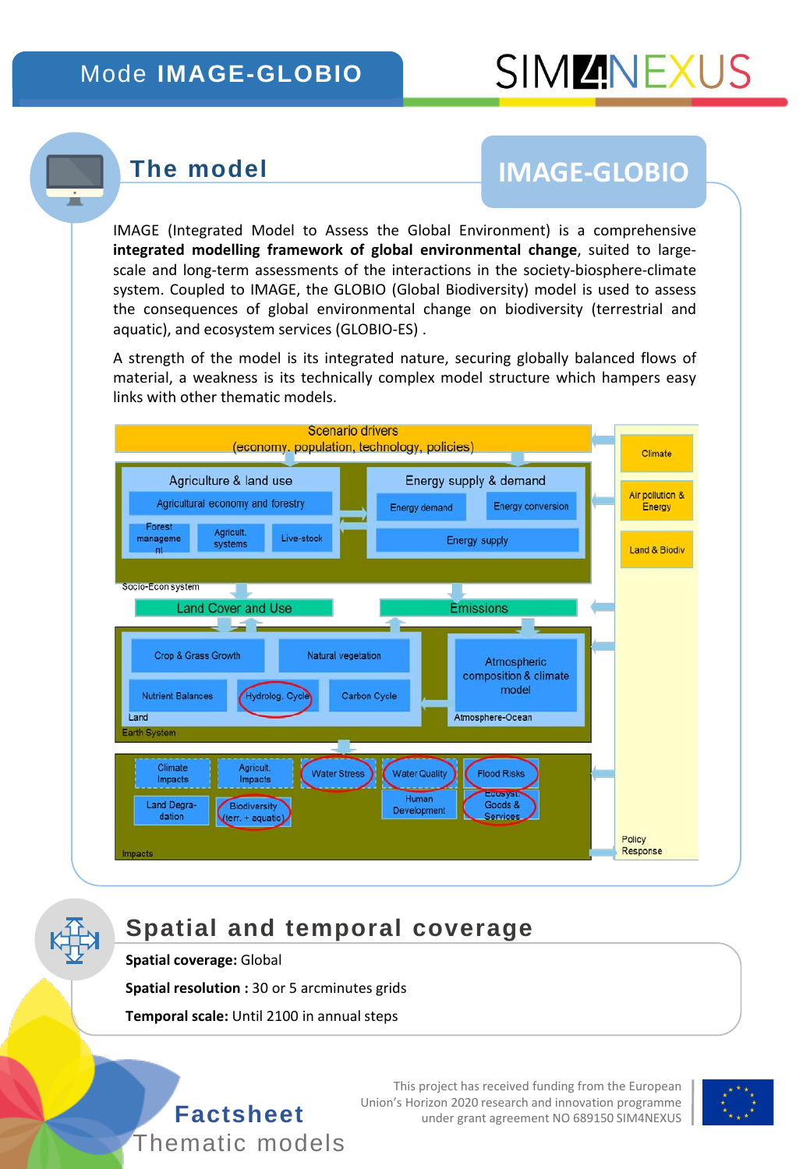#### Mode **IMAGE-GLOBIO**

#### **The model**

 $\overline{\phantom{a}}$ 

# **IMAGE-GLOBIO**

IMAGE (Integrated Model to Assess the Global Environment) is a comprehensive **integrated modelling framework of global environmental change**, suited to largescale and long-term assessments of the interactions in the society-biosphere-climate system. Coupled to IMAGE, the GLOBIO (Global Biodiversity) model is used to assess the consequences of global environmental change on biodiversity (terrestrial and aquatic), and ecosystem services (GLOBIO-ES) .

A strength of the model is its integrated nature, securing globally balanced flows of material, a weakness is its technically complex model structure which hampers easy links with other thematic models.



### **Spatial and temporal coverage**

**Spatial coverage:** Global

**Spatial resolution :** 30 or 5 arcminutes grids

**Temporal scale:** Until 2100 in annual steps



This project has received funding from the European Union's Horizon 2020 research and innovation programme **Factsheet** under grant agreement NO 689150 SIM4NEXUS